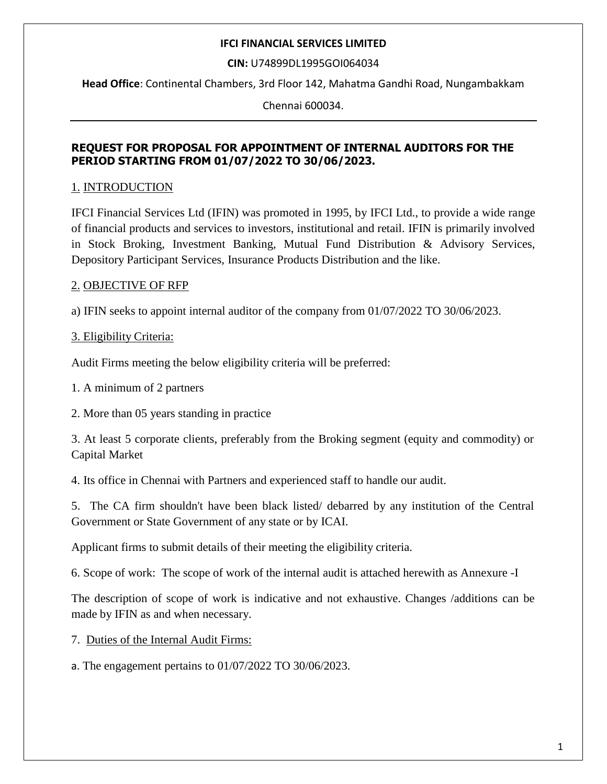**CIN:** U74899DL1995GOI064034

**Head Office**: Continental Chambers, 3rd Floor 142, Mahatma Gandhi Road, Nungambakkam

Chennai 600034.

# **REQUEST FOR PROPOSAL FOR APPOINTMENT OF INTERNAL AUDITORS FOR THE PERIOD STARTING FROM 01/07/2022 TO 30/06/2023.**

# 1. INTRODUCTION

IFCI Financial Services Ltd (IFIN) was promoted in 1995, by IFCI Ltd., to provide a wide range of financial products and services to investors, institutional and retail. IFIN is primarily involved in Stock Broking, Investment Banking, Mutual Fund Distribution & Advisory Services, Depository Participant Services, Insurance Products Distribution and the like.

# 2. OBJECTIVE OF RFP

a) IFIN seeks to appoint internal auditor of the company from 01/07/2022 TO 30/06/2023.

# 3. Eligibility Criteria:

Audit Firms meeting the below eligibility criteria will be preferred:

1. A minimum of 2 partners

2. More than 05 years standing in practice

3. At least 5 corporate clients, preferably from the Broking segment (equity and commodity) or Capital Market

4. Its office in Chennai with Partners and experienced staff to handle our audit.

5. The CA firm shouldn't have been black listed/ debarred by any institution of the Central Government or State Government of any state or by ICAI.

Applicant firms to submit details of their meeting the eligibility criteria.

6. Scope of work: The scope of work of the internal audit is attached herewith as Annexure -I

The description of scope of work is indicative and not exhaustive. Changes /additions can be made by IFIN as and when necessary.

7. Duties of the Internal Audit Firms:

a. The engagement pertains to 01/07/2022 TO 30/06/2023.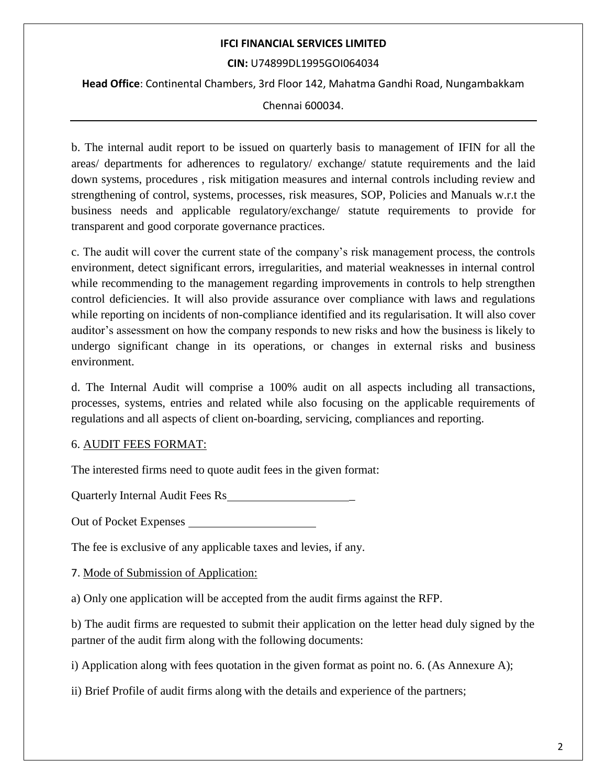#### **CIN:** U74899DL1995GOI064034

**Head Office**: Continental Chambers, 3rd Floor 142, Mahatma Gandhi Road, Nungambakkam

Chennai 600034.

b. The internal audit report to be issued on quarterly basis to management of IFIN for all the areas/ departments for adherences to regulatory/ exchange/ statute requirements and the laid down systems, procedures , risk mitigation measures and internal controls including review and strengthening of control, systems, processes, risk measures, SOP, Policies and Manuals w.r.t the business needs and applicable regulatory/exchange/ statute requirements to provide for transparent and good corporate governance practices.

c. The audit will cover the current state of the company's risk management process, the controls environment, detect significant errors, irregularities, and material weaknesses in internal control while recommending to the management regarding improvements in controls to help strengthen control deficiencies. It will also provide assurance over compliance with laws and regulations while reporting on incidents of non-compliance identified and its regularisation. It will also cover auditor's assessment on how the company responds to new risks and how the business is likely to undergo significant change in its operations, or changes in external risks and business environment.

d. The Internal Audit will comprise a 100% audit on all aspects including all transactions, processes, systems, entries and related while also focusing on the applicable requirements of regulations and all aspects of client on-boarding, servicing, compliances and reporting.

## 6. AUDIT FEES FORMAT:

The interested firms need to quote audit fees in the given format:

Quarterly Internal Audit Fees Rs \_

Out of Pocket Expenses

The fee is exclusive of any applicable taxes and levies, if any.

7. Mode of Submission of Application:

a) Only one application will be accepted from the audit firms against the RFP.

b) The audit firms are requested to submit their application on the letter head duly signed by the partner of the audit firm along with the following documents:

i) Application along with fees quotation in the given format as point no. 6. (As Annexure A);

ii) Brief Profile of audit firms along with the details and experience of the partners;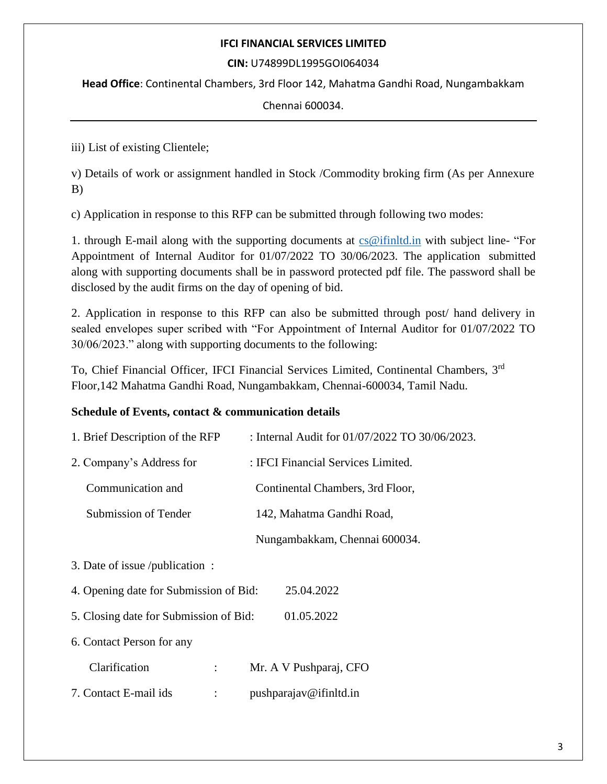#### **CIN:** U74899DL1995GOI064034

**Head Office**: Continental Chambers, 3rd Floor 142, Mahatma Gandhi Road, Nungambakkam

Chennai 600034.

iii) List of existing Clientele;

v) Details of work or assignment handled in Stock /Commodity broking firm (As per Annexure B)

c) Application in response to this RFP can be submitted through following two modes:

1. through E-mail along with the supporting documents at [cs@ifinltd.in](mailto:cs@ifinltd.in) with subject line- "For Appointment of Internal Auditor for 01/07/2022 TO 30/06/2023. The application submitted along with supporting documents shall be in password protected pdf file. The password shall be disclosed by the audit firms on the day of opening of bid.

2. Application in response to this RFP can also be submitted through post/ hand delivery in sealed envelopes super scribed with "For Appointment of Internal Auditor for 01/07/2022 TO 30/06/2023." along with supporting documents to the following:

To, Chief Financial Officer, IFCI Financial Services Limited, Continental Chambers, 3rd Floor,142 Mahatma Gandhi Road, Nungambakkam, Chennai-600034, Tamil Nadu.

## **Schedule of Events, contact & communication details**

| 1. Brief Description of the RFP                      | : Internal Audit for 01/07/2022 TO 30/06/2023. |  |
|------------------------------------------------------|------------------------------------------------|--|
| 2. Company's Address for                             | : IFCI Financial Services Limited.             |  |
| Communication and                                    | Continental Chambers, 3rd Floor,               |  |
| Submission of Tender                                 | 142, Mahatma Gandhi Road,                      |  |
|                                                      | Nungambakkam, Chennai 600034.                  |  |
| 3. Date of issue /publication :                      |                                                |  |
| 4. Opening date for Submission of Bid:<br>25.04.2022 |                                                |  |
| 01.05.2022<br>5. Closing date for Submission of Bid: |                                                |  |
| 6. Contact Person for any                            |                                                |  |
| Clarification<br>$\ddot{\phantom{a}}$                | Mr. A V Pushparaj, CFO                         |  |
| 7. Contact E-mail ids                                | pushparajav@ifinltd.in                         |  |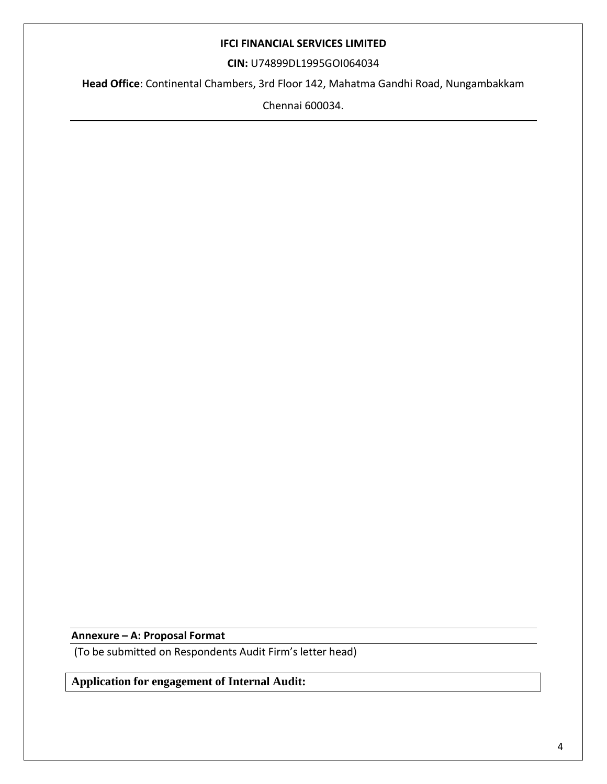**CIN:** U74899DL1995GOI064034

**Head Office**: Continental Chambers, 3rd Floor 142, Mahatma Gandhi Road, Nungambakkam

Chennai 600034.

**Annexure – A: Proposal Format**

(To be submitted on Respondents Audit Firm's letter head)

**Application for engagement of Internal Audit:**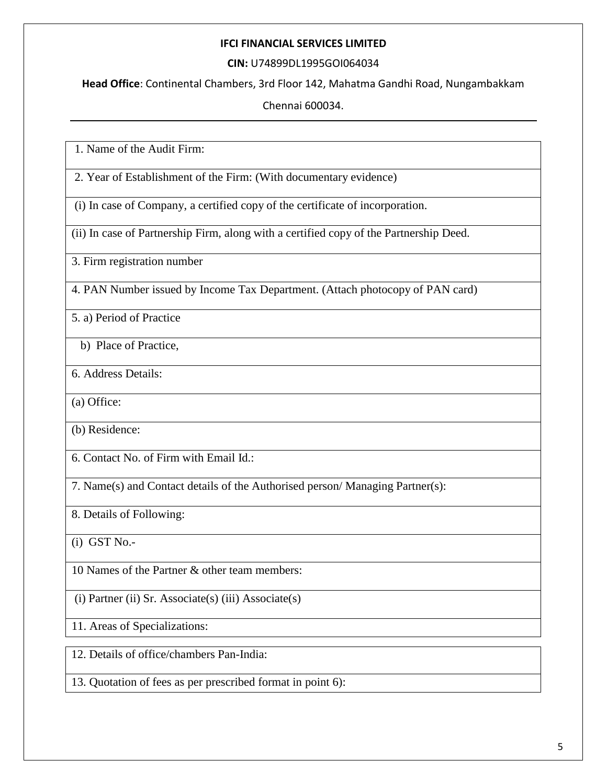#### **CIN:** U74899DL1995GOI064034

**Head Office**: Continental Chambers, 3rd Floor 142, Mahatma Gandhi Road, Nungambakkam

Chennai 600034.

1. Name of the Audit Firm:

2. Year of Establishment of the Firm: (With documentary evidence)

(i) In case of Company, a certified copy of the certificate of incorporation.

(ii) In case of Partnership Firm, along with a certified copy of the Partnership Deed.

3. Firm registration number

4. PAN Number issued by Income Tax Department. (Attach photocopy of PAN card)

5. a) Period of Practice

b) Place of Practice,

6. Address Details:

(a) Office:

(b) Residence:

6. Contact No. of Firm with Email Id.:

7. Name(s) and Contact details of the Authorised person/ Managing Partner(s):

8. Details of Following:

 $(i)$  GST N<sub>0</sub> $-$ 

10 Names of the Partner & other team members:

(i) Partner (ii) Sr. Associate(s) (iii) Associate(s)

11. Areas of Specializations:

12. Details of office/chambers Pan-India:

13. Quotation of fees as per prescribed format in point 6):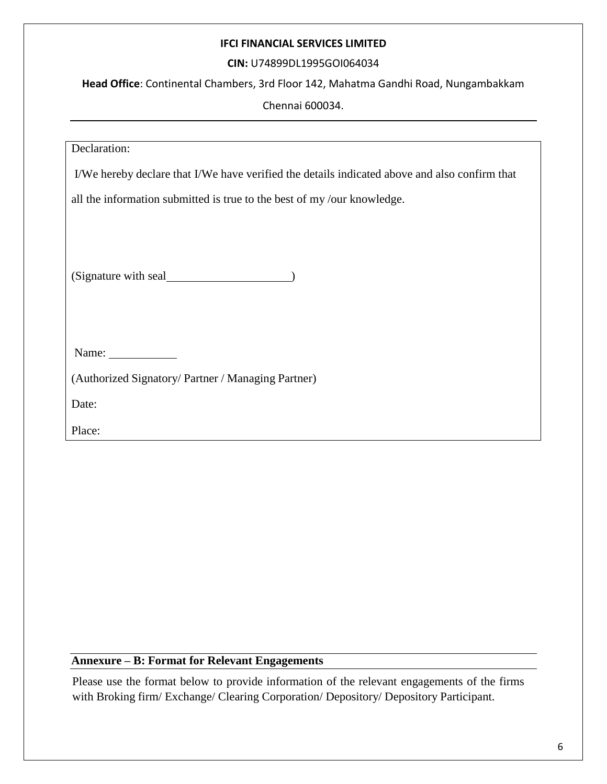# **CIN:** U74899DL1995GOI064034

**Head Office**: Continental Chambers, 3rd Floor 142, Mahatma Gandhi Road, Nungambakkam

Chennai 600034.

| Declaration:                                                                                   |  |  |
|------------------------------------------------------------------------------------------------|--|--|
| I/We hereby declare that I/We have verified the details indicated above and also confirm that  |  |  |
| all the information submitted is true to the best of my/our knowledge.                         |  |  |
| (Signature with seal                                                                           |  |  |
| Name: $\frac{1}{\sqrt{1-\frac{1}{2}}\sqrt{1-\frac{1}{2}}\left(\frac{1}{2}-\frac{1}{2}\right)}$ |  |  |
| (Authorized Signatory/Partner / Managing Partner)                                              |  |  |
| Date:                                                                                          |  |  |
| Place:                                                                                         |  |  |
|                                                                                                |  |  |

# **Annexure – B: Format for Relevant Engagements**

Please use the format below to provide information of the relevant engagements of the firms with Broking firm/ Exchange/ Clearing Corporation/ Depository/ Depository Participant.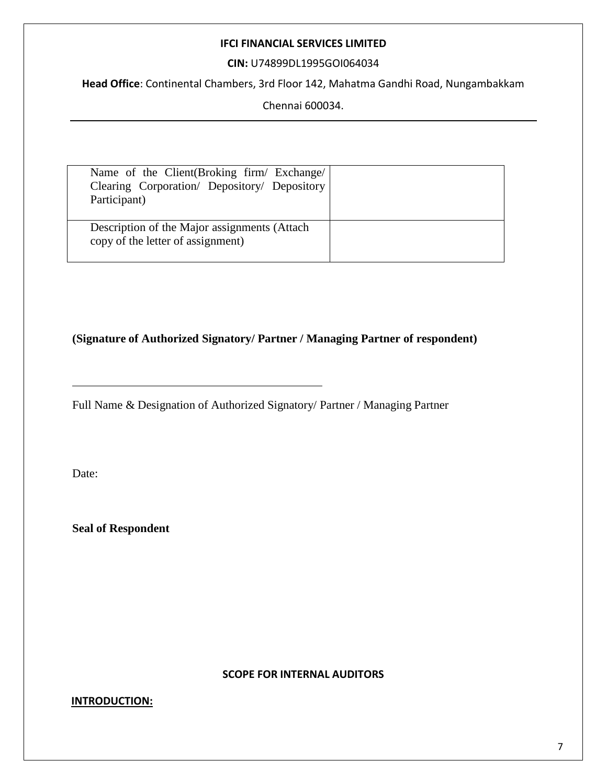**CIN:** U74899DL1995GOI064034

**Head Office**: Continental Chambers, 3rd Floor 142, Mahatma Gandhi Road, Nungambakkam

Chennai 600034.

| Name of the Client (Broking firm/ Exchange/<br>Clearing Corporation/ Depository/ Depository<br>Participant) |  |
|-------------------------------------------------------------------------------------------------------------|--|
| Description of the Major assignments (Attach<br>copy of the letter of assignment)                           |  |

# **(Signature of Authorized Signatory/ Partner / Managing Partner of respondent)**

Full Name & Designation of Authorized Signatory/ Partner / Managing Partner

Date:

**Seal of Respondent**

#### **SCOPE FOR INTERNAL AUDITORS**

## **INTRODUCTION:**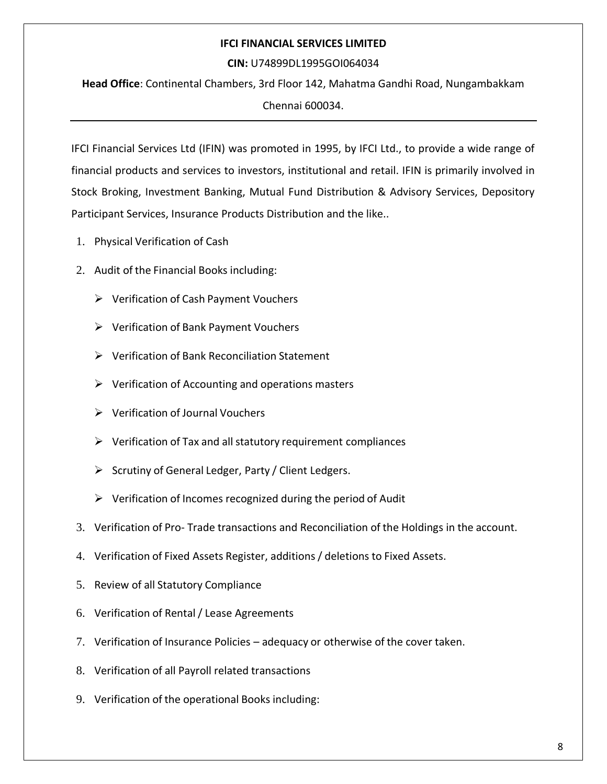#### **CIN:** U74899DL1995GOI064034

**Head Office**: Continental Chambers, 3rd Floor 142, Mahatma Gandhi Road, Nungambakkam

Chennai 600034.

IFCI Financial Services Ltd (IFIN) was promoted in 1995, by IFCI Ltd., to provide a wide range of financial products and services to investors, institutional and retail. IFIN is primarily involved in Stock Broking, Investment Banking, Mutual Fund Distribution & Advisory Services, Depository Participant Services, Insurance Products Distribution and the like..

- 1. Physical Verification of Cash
- 2. Audit of the Financial Books including:
	- $\triangleright$  Verification of Cash Payment Vouchers
	- Verification of Bank Payment Vouchers
	- $\triangleright$  Verification of Bank Reconciliation Statement
	- $\triangleright$  Verification of Accounting and operations masters
	- $\triangleright$  Verification of Journal Vouchers
	- $\triangleright$  Verification of Tax and all statutory requirement compliances
	- $\triangleright$  Scrutiny of General Ledger, Party / Client Ledgers.
	- $\triangleright$  Verification of Incomes recognized during the period of Audit
- 3. Verification of Pro- Trade transactions and Reconciliation of the Holdings in the account.
- 4. Verification of Fixed Assets Register, additions / deletions to Fixed Assets.
- 5. Review of all Statutory Compliance
- 6. Verification of Rental/ Lease Agreements
- 7. Verification of Insurance Policies adequacy or otherwise of the cover taken.
- 8. Verification of all Payroll related transactions
- 9. Verification of the operational Books including: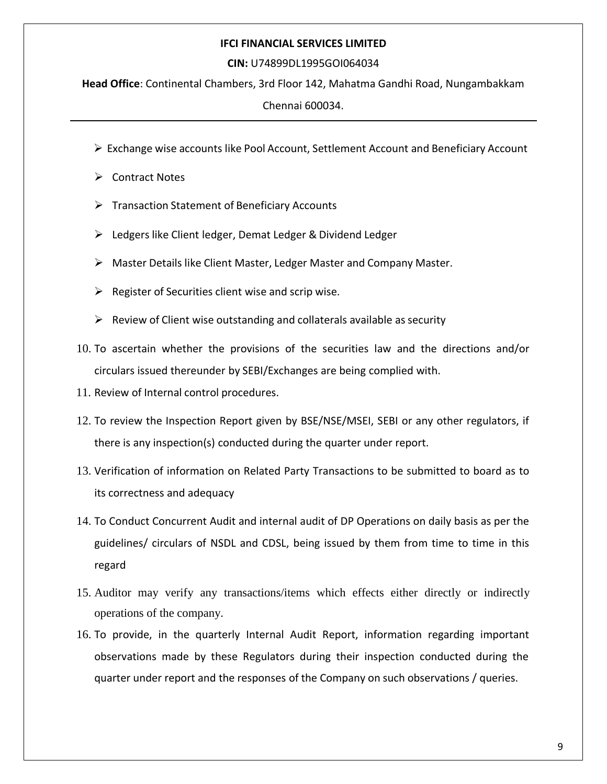#### **CIN:** U74899DL1995GOI064034

**Head Office**: Continental Chambers, 3rd Floor 142, Mahatma Gandhi Road, Nungambakkam

Chennai 600034.

- $\triangleright$  Exchange wise accounts like Pool Account, Settlement Account and Beneficiary Account
- $\triangleright$  Contract Notes
- $\triangleright$  Transaction Statement of Beneficiary Accounts
- Ledgers like Client ledger, Demat Ledger & Dividend Ledger
- Master Details like Client Master, Ledger Master and Company Master.
- $\triangleright$  Register of Securities client wise and scrip wise.
- $\triangleright$  Review of Client wise outstanding and collaterals available as security
- 10. To ascertain whether the provisions of the securities law and the directions and/or circulars issued thereunder by SEBI/Exchanges are being complied with.
- 11. Review of Internal control procedures.
- 12. To review the Inspection Report given by BSE/NSE/MSEI, SEBI or any other regulators, if there is any inspection(s) conducted during the quarter under report.
- 13. Verification of information on Related Party Transactions to be submitted to board as to its correctness and adequacy
- 14. To Conduct Concurrent Audit and internal audit of DP Operations on daily basis as per the guidelines/ circulars of NSDL and CDSL, being issued by them from time to time in this regard
- 15. Auditor may verify any transactions/items which effects either directly or indirectly operations of the company.
- 16. To provide, in the quarterly Internal Audit Report, information regarding important observations made by these Regulators during their inspection conducted during the quarter under report and the responses of the Company on such observations / queries.